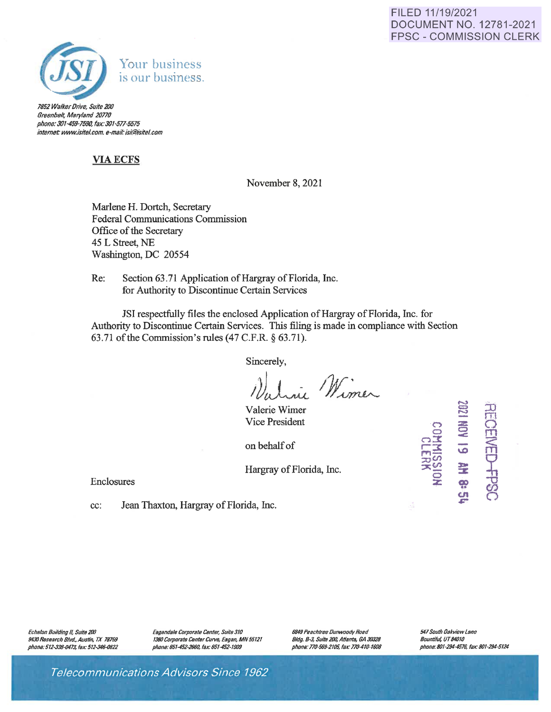### FILED 11/19/2021 DOCUMENT NO. 12781-2021 FPSC - COMMISSION CLERK



7852 Walker Drive, Suite 200 Breenbelt, Maryland 20770 phone: 301-459-7590, fax: 301-577-5575 *internet: www.isitel.com, e-mail: isi@isitel.com* 

## **VIAECFS**

November 8, 2021

Marlene H. Dortch, Secretary Federal Communications Commission Office of the Secretary 45 L Street, NE Washington, DC 20554

Re: Section 63.71 Application of Hargray of Florida, Inc. for Authority to Discontinue Certain Services

JSI respectfully files the enclosed Application of Hargray of Florida, Inc. for Authority to Discontinue Certain Services. This filing is made in compliance with Section 63.71 of the Commission's rules (47 C.F.R. § 63.71).

Sincerely,

ie Winer

Valerie Wimer Vice President

on behalf of

Hargray of Florida, Inc.

Enclosures

cc: Jean Thaxton, Hargray of Florida, Inc.

Echelon Building II, Suite 200 9430 Research Blvd., Austin, TX 78759 phone: 512-338-0473, fax: 512-346-0822 Eagandale Corporate Center, Suite *310*  1380 Corporate Center Curve, Eagan, MN 55121 phone: *651-45Z-Z660,* fax: *651-452-1909* 

6849 Peachtree Dunwoody Road Bldg. **B-3, Suite 200, Atlanta, GA 30328** phone: 770-569-2105, fax: 770-410-1608 541 South Oakview lane Bountiful, *UT84010*  phone: 801-2944576, fax: 801-294-5124

 $\overline{2}$ 

 $\mathbb{D}$ 

 $\mathbf{E}$  $\sum_{i=1}^{n}$ 

 $\frac{1}{2}$ တိ

**M**<br>**WH**03<br>**61 NON** 

% **GO** ~· **<A**  *.,:-*

**::oU>**   $\frac{36}{9}$   $\equiv$ 

Telecommunications Advisors Since 7962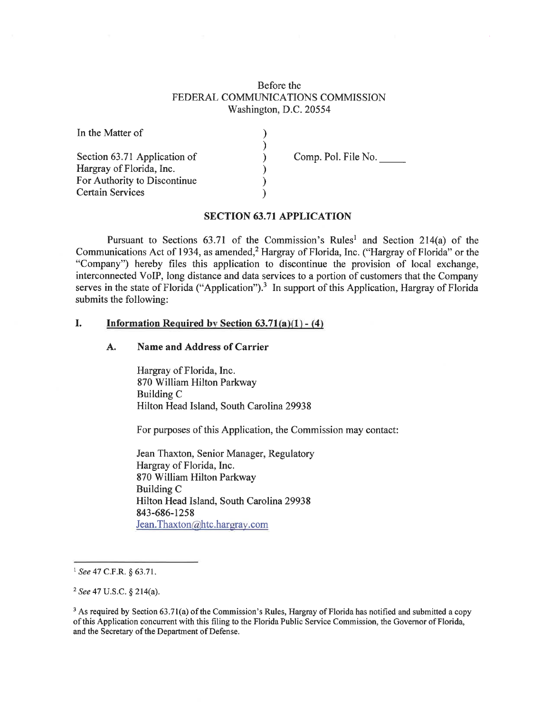### Before the FEDERAL COMMUNICATIONS COMMISSION Washington, D.C. 20554

| In the Matter of                                         |                     |
|----------------------------------------------------------|---------------------|
| Section 63.71 Application of<br>Hargray of Florida, Inc. | Comp. Pol. File No. |
| For Authority to Discontinue                             |                     |
| <b>Certain Services</b>                                  |                     |

#### **SECTION 63.71 APPLICATION**

Pursuant to Sections  $63.71$  of the Commission's Rules<sup>1</sup> and Section 214(a) of the Communications Act of 1934, as amended,<sup>2</sup> Hargray of Florida, Inc. ("Hargray of Florida" or the "Company") hereby files this application to discontinue the provision of local exchange, interconnected VoIP, long distance and data services to a portion of customers that the Company serves in the state of Florida ("Application").<sup>3</sup> In support of this Application, Hargray of Florida submits the following:

#### **I. Information Required by Section 63.71(a)(l) - (4)**

#### **A. Name and Address of Carrier**

Hargray of Florida, Inc. 870 William Hilton Parkway Building C Hilton Head Island, South Carolina 29938

For purposes of this Application, the Commission may contact:

Jean Thaxton, Senior Manager, Regulatory Hargray of Florida, Inc. 870 William Hilton Parkway Building C Hilton Head Island, South Carolina 29938 843-686-1258 Jean. Thaxton@htc.hargray.com

<sup>1</sup>*See* 47 C.F.R. § 63.71.

<sup>2</sup>*See* 47 U.S.C. § 214(a).

<sup>&</sup>lt;sup>3</sup> As required by Section 63.71(a) of the Commission's Rules, Hargray of Florida has notified and submitted a copy of this Application concurrent with this filing to the Florida Public Service Commission, the Governor of Florida, and the Secretary of the Department of Defense.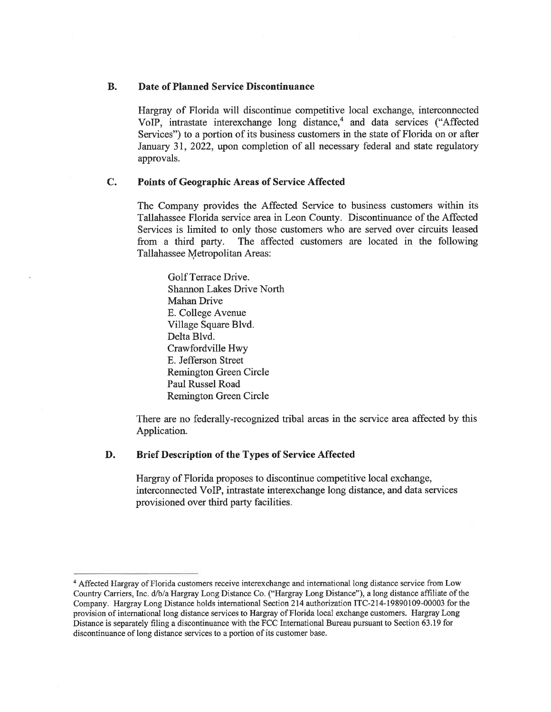#### **B. Date of Planned Service Discontinuance**

Hargray of Florida will discontinue competitive local exchange, interconnected VoIP, intrastate interexchange long distance,<sup>4</sup> and data services ("Affected Services") to a portion of its business customers in the state of Florida on or after January 31, 2022, upon completion of all necessary federal and state regulatory approvals.

#### **C. Points of Geographic Areas of Service Affected**

The Company provides the Affected Service to business customers within its Tallahassee Florida service area in Leon County. Discontinuance of the Affected Services is limited to only those customers who are served over circuits leased from a third party. The affected customers are located in the following Tallahassee Metropolitan Areas:

Golf Terrace Drive. Shannon Lakes Drive North Mahan Drive E. College A venue Village Square Blvd. Delta Blvd. Crawfordville Hwy E. Jefferson Street Remington Green Circle Paul Russel Road Remington Green Circle

There are no federally-recognized tribal areas in the service area affected by this Application.

#### **D. Brief Description of the Types of Service Affected**

Hargray of Florida proposes to discontinue competitive local exchange, interconnected VoIP, intrastate interexchange long distance, and data services provisioned over third party facilities.

<sup>4</sup>Affected Hargray of Florida customers receive interexchange and international long distance service from Low Country Carriers, Inc. d/b/a Hargray Long Distance Co. ("Hargray Long Distance"), a long distance affiliate of the Company. Hargray Long Distance holds international Section 214 authorization ITC-214-19890109-00003 for the provision of international long distance services to Hargray of Florida local exchange customers. Hargray Long Distance is separately filing a discontinuance with the FCC International Bureau pursuant to Section 63.19 for discontinuance of long distance services to a portion of its customer base.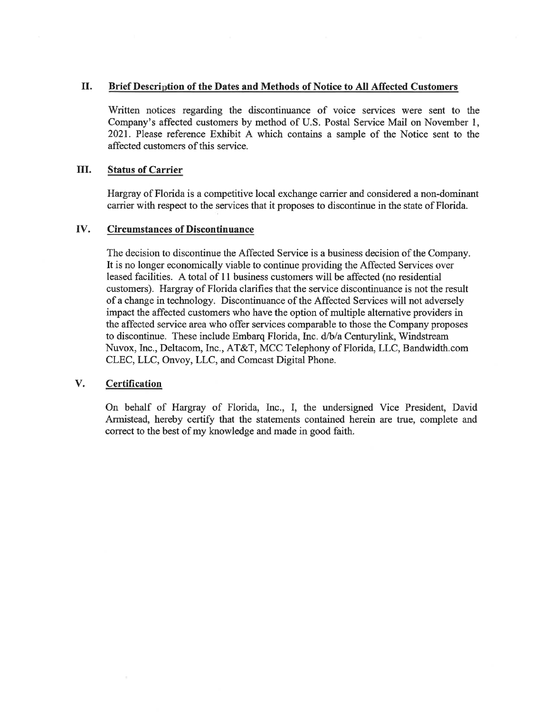#### II. **Brief Description of the Dates and Methods of Notice to All Affected Customers**

Written notices regarding the discontinuance of voice services were sent to the Company's affected customers by method of U.S. Postal Service Mail on November 1, 2021. Please reference Exhibit A which contains a sample of the Notice sent to the affected customers of this service.

#### III. **Status of Carrier**

Hargray of Florida is a competitive local exchange carrier and considered a non-dominant carrier with respect to the services that it proposes to discontinue in the state of Florida.

#### **IV. Circumstances of Discontinuance**

The decision to discontinue the Affected Service is a business decision of the Company. It is no longer economically viable to continue providing the Affected Services over leased facilities. A total of 11 business customers will be affected (no residential customers). Hargray of Florida clarifies that the service discontinuance is not the result of a change in technology. Discontinuance of the Affected Services will not adversely impact the affected customers who have the option of multiple alternative providers in the affected service area who offer services comparable to those the Company proposes to discontinue. These include Embarq Florida, Inc. d/b/a Centurylink, Windstream Nuvox, Inc., Deltacom, Inc., AT&T, MCC Telephony of Florida, LLC, Bandwidth.com CLEC, LLC, Onvoy, LLC, and Comcast Digital Phone.

#### **V. Certification**

On behalf of Hargray of Florida, Inc., I, the undersigned Vice President, David Armistead, hereby certify that the statements contained herein are true, complete and correct to the best of my knowledge and made in good faith.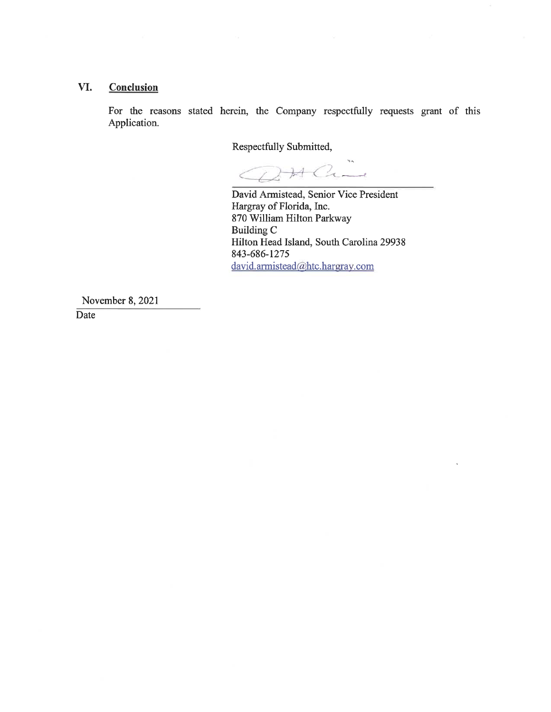### **VI. Conclusion**

For the reasons stated herein, the Company respectfully requests grant of this Application.

Respectfully Submitted,

Ċ

David Armistead, Senior Vice President Hargray of Florida, Inc. 870 William Hilton Parkway Building C Hilton Head Island, South Carolina 29938 843-686-1275 david.armistead@htc.hargray.com

November 8, 2021

Date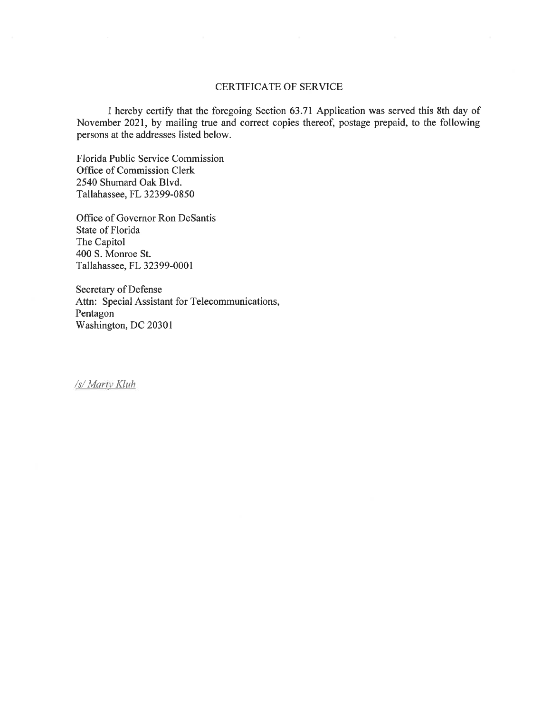#### CERTIFICATE OF SERVICE

I hereby certify that the foregoing Section 63.71 Application was served this 8th day of November 2021, by mailing true and correct copies thereof, postage prepaid, to the following persons at the addresses listed below.

Florida Public Service Commission Office of Commission Clerk 2540 Shumard Oak Blvd. Tallahassee, FL 32399-0850

Office of Governor Ron Desantis State of Florida The Capitol 400 S. Monroe St. Tallahassee, FL 32399-0001

Secretary of Defense Attn: Special Assistant for Telecommunications, Pentagon Washington, DC 20301

*Is/ Maril · Kluh*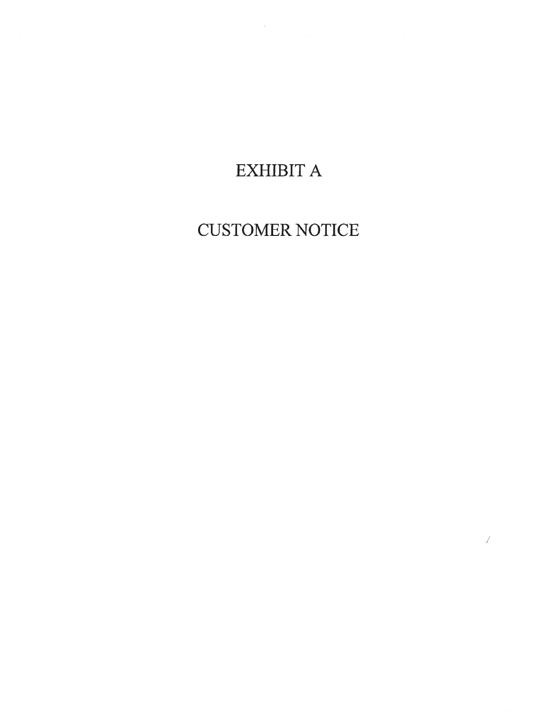# EXHIBIT A

# CUSTOMER NOTICE

 $\!\!$   $\!\!$   $\!\!$   $\!\!$   $\!\!$   $\!\!$   $\!\!$